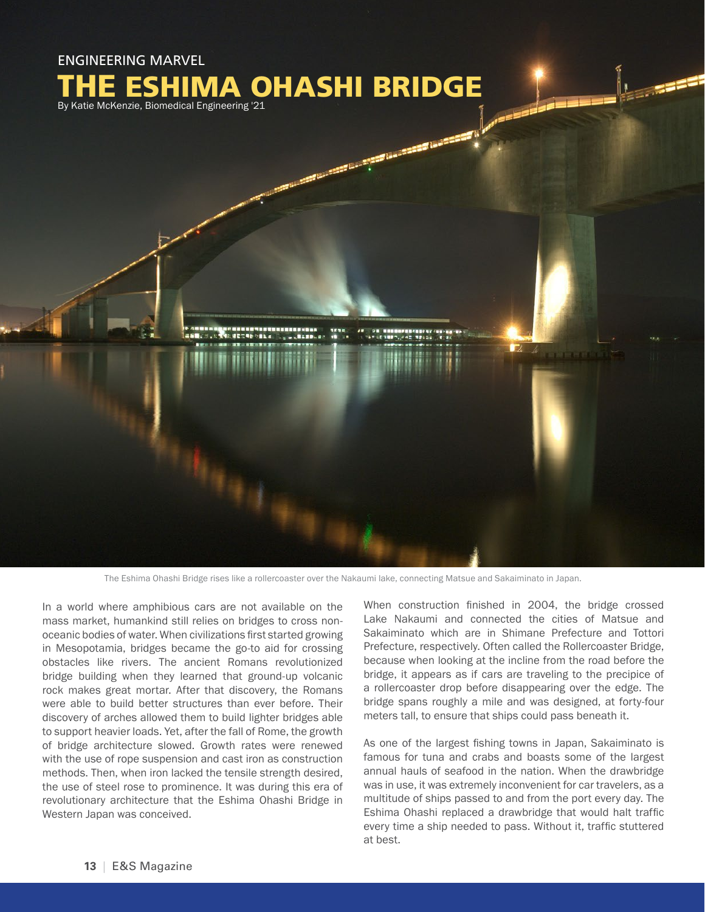

The Eshima Ohashi Bridge rises like a rollercoaster over the Nakaumi lake, connecting Matsue and Sakaiminato in Japan.

In a world where amphibious cars are not available on the mass market, humankind still relies on bridges to cross nonoceanic bodies of water. When civilizations first started growing in Mesopotamia, bridges became the go-to aid for crossing obstacles like rivers. The ancient Romans revolutionized bridge building when they learned that ground-up volcanic rock makes great mortar. After that discovery, the Romans were able to build better structures than ever before. Their discovery of arches allowed them to build lighter bridges able to support heavier loads. Yet, after the fall of Rome, the growth of bridge architecture slowed. Growth rates were renewed with the use of rope suspension and cast iron as construction methods. Then, when iron lacked the tensile strength desired, the use of steel rose to prominence. It was during this era of revolutionary architecture that the Eshima Ohashi Bridge in Western Japan was conceived.

When construction finished in 2004, the bridge crossed Lake Nakaumi and connected the cities of Matsue and Sakaiminato which are in Shimane Prefecture and Tottori Prefecture, respectively. Often called the Rollercoaster Bridge, because when looking at the incline from the road before the bridge, it appears as if cars are traveling to the precipice of a rollercoaster drop before disappearing over the edge. The bridge spans roughly a mile and was designed, at forty-four meters tall, to ensure that ships could pass beneath it.

As one of the largest fishing towns in Japan, Sakaiminato is famous for tuna and crabs and boasts some of the largest annual hauls of seafood in the nation. When the drawbridge was in use, it was extremely inconvenient for car travelers, as a multitude of ships passed to and from the port every day. The Eshima Ohashi replaced a drawbridge that would halt traffic every time a ship needed to pass. Without it, traffic stuttered at best.